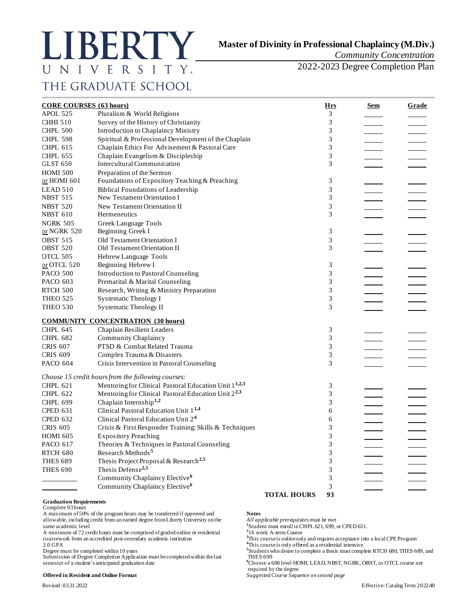# LIBERTY UNIVERSITY. THE GRADUATE SCHOOL

# **Master of Divinity in Professional Chaplaincy (M.Div.)**

*Community Concentration* 

2022-2023 Degree Completion Plan

| <b>CORE COURSES (63 hours)</b> |                                                                   |                    | <u>Hrs</u>     | <u>Sem</u> | Grade |
|--------------------------------|-------------------------------------------------------------------|--------------------|----------------|------------|-------|
| APOL 525                       | Pluralism & World Religions                                       |                    | 3              |            |       |
| <b>CHHI 510</b>                | Survey of the History of Christianity                             |                    | 3              |            |       |
| <b>CHPL 500</b>                | Introduction to Chaplaincy Ministry                               |                    | 3              |            |       |
| <b>CHPL 598</b>                | Spiritual & Professional Development of the Chaplain              |                    | $\mathfrak{Z}$ |            |       |
| <b>CHPL 615</b>                | Chaplain Ethics For Advisement & Pastoral Care                    |                    | 3              |            |       |
| <b>CHPL 655</b>                | Chaplain Evangelism & Discipleship                                |                    | 3              |            |       |
| <b>GLST 650</b>                | Intercultural Communication                                       |                    | 3              |            |       |
| <b>HOMI 500</b>                | Preparation of the Sermon                                         |                    |                |            |       |
| or HOMI 601                    | Foundations of Expository Teaching & Preaching                    |                    | 3              |            |       |
| LEAD 510                       | <b>Biblical Foundations of Leadership</b>                         |                    | 3              |            |       |
| <b>NBST 515</b>                | New Testament Orientation I                                       |                    | 3              |            |       |
| <b>NBST 520</b>                | New Testament Orientation II                                      |                    | 3              |            |       |
| <b>NBST 610</b>                | Hermeneutics                                                      |                    | 3              |            |       |
| <b>NGRK 505</b>                | Greek Language Tools                                              |                    |                |            |       |
| <u>or</u> NGRK 520             | Beginning Greek I                                                 |                    | 3              |            |       |
| <b>OBST 515</b>                | Old Testament Orientation I                                       |                    | 3              |            |       |
| <b>OBST 520</b>                | Old Testament Orientation II                                      |                    | 3              |            |       |
| OTCL 505                       | Hebrew Language Tools                                             |                    |                |            |       |
| or OTCL 520                    | Beginning Hebrew I                                                |                    | 3              |            |       |
| <b>PACO 500</b>                | <b>Introduction to Pastoral Counseling</b>                        |                    | 3              |            |       |
| PACO 603                       | Premarital & Marital Counseling                                   |                    | 3              |            |       |
| <b>RTCH 500</b>                | Research, Writing & Ministry Preparation                          |                    | $\mathfrak{Z}$ |            |       |
| <b>THEO 525</b>                | Systematic Theology I                                             |                    | $\mathfrak{Z}$ |            |       |
| <b>THEO 530</b>                | <b>Systematic Theology II</b>                                     |                    | 3              |            |       |
|                                | <b>COMMUNITY CONCENTRATION (30 hours)</b>                         |                    |                |            |       |
| <b>CHPL 645</b>                | Chaplain Resilient Leaders                                        |                    | 3              |            |       |
| <b>CHPL 682</b>                | <b>Community Chaplaincy</b>                                       |                    | 3              |            |       |
| <b>CRIS 607</b>                | PTSD & Combat Related Trauma                                      |                    | 3              |            |       |
| <b>CRIS 609</b>                | Complex Trauma & Disasters                                        |                    | 3              |            |       |
| <b>PACO 604</b>                | Crisis Intervention in Pastoral Counseling                        |                    | 3              |            |       |
|                                | Choose 15 credit hours from the following courses:                |                    |                |            |       |
| <b>CHPL 621</b>                | Mentoring for Clinical Pastoral Education Unit 1 <sup>1,2,3</sup> |                    | 3              |            |       |
| <b>CHPL 622</b>                | Mentoring for Clinical Pastoral Education Unit 2 <sup>2,3</sup>   |                    | 3              |            |       |
| <b>CHPL 699</b>                | Chaplain Internship <sup>1,2</sup>                                |                    | 3              |            |       |
| <b>CPED 631</b>                | Clinical Pastoral Education Unit 1 <sup>1,4</sup>                 |                    | 6              |            |       |
| <b>CPED 632</b>                | Clinical Pastoral Education Unit 24                               |                    | 6              |            |       |
| <b>CRIS 605</b>                | Crisis & First Responder Training: Skills & Techniques            |                    | 3              |            |       |
| <b>HOMI 605</b>                | <b>Expository Preaching</b>                                       |                    | 3              |            |       |
| <b>PACO 617</b>                | Theories & Techniques in Pastoral Counseling                      |                    | 3              |            |       |
| RTCH 680                       | Research Methods <sup>5</sup>                                     |                    | 3              |            |       |
| <b>THES 689</b>                | Thesis Project Proposal & Research <sup>2,5</sup>                 |                    | 3              |            |       |
| <b>THES 690</b>                | Thesis Defense <sup>2,5</sup>                                     |                    | 3              |            |       |
|                                | Community Chaplaincy Elective <sup>6</sup>                        |                    | 3              |            |       |
|                                | Community Chaplaincy Elective <sup>6</sup>                        |                    | 3              |            |       |
|                                |                                                                   | <b>TOTAL HOURS</b> | 93             |            |       |

**Graduation Requirements** Complete 93 hours

A maximum of 50% of the program hours may be transferred if approved and **Notes** allowable, including credit from an earned degree from Liberty University on the *All applicable prerequisites must be met* same academic level **<sup>1</sup>**

A minimum of 72 credit hours must be comprised of graded online or residential **<sup>2</sup>** coursework from an accredited post-secondary academic institution <sup>3</sup>This course is online only and requires acceptance into a local CPE Program 2.0 GPA

Degree must be completed within 10 years **5**<br>Submission of Degree Completion Application must be completed within the last **1990** THES 690 Submission of Degree Completion Application must be completed within the last THES 690 semester of a student's anticipated graduation date **<sup>6</sup>**Choose a 600 level HOMI, LEAD, NBST, NGRK, OBST, or OTCL course not

### **Offered in Resident and Online Format** *Suggested Course Sequence on second page*

All applicable prerequisites must be met<br><sup>1</sup>Student must enroll in CHPL 621, 699, or CPED 631.

 $^{2}$ 16 week A-term Course

<sup>4</sup>This course is only offered as a residential intensive

Students who desire to complete a thesis must complete RTCH 680, THES 689, and

required by the degree